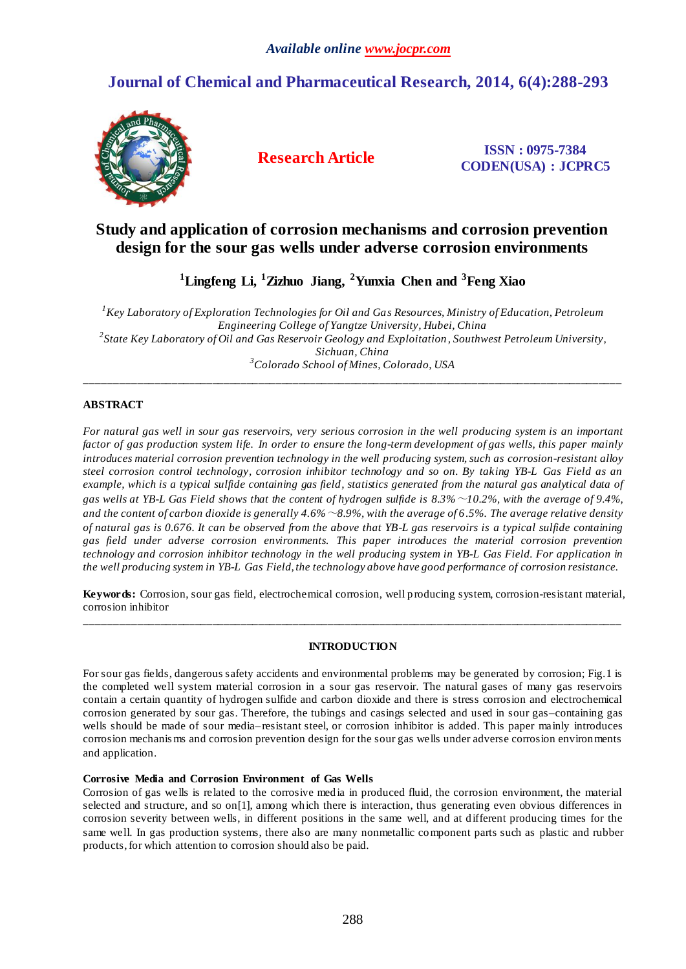# **Journal of Chemical and Pharmaceutical Research, 2014, 6(4):288-293**



**Research Article ISSN : 0975-7384 CODEN(USA) : JCPRC5**

# **Study and application of corrosion mechanisms and corrosion prevention design for the sour gas wells under adverse corrosion environments**

**<sup>1</sup>Lingfeng Li, <sup>1</sup>Zizhuo Jiang, <sup>2</sup>Yunxia Chen and <sup>3</sup>Feng Xiao**

*<sup>1</sup>Key Laboratory of Exploration Technologies for Oil and Gas Resources, Ministry of Education, Petroleum Engineering College of Yangtze University, Hubei, China 2 State Key Laboratory of Oil and Gas Reservoir Geology and Exploitation, Southwest Petroleum University, Sichuan, China <sup>3</sup>Colorado School of Mines, Colorado, USA* \_\_\_\_\_\_\_\_\_\_\_\_\_\_\_\_\_\_\_\_\_\_\_\_\_\_\_\_\_\_\_\_\_\_\_\_\_\_\_\_\_\_\_\_\_\_\_\_\_\_\_\_\_\_\_\_\_\_\_\_\_\_\_\_\_\_\_\_\_\_\_\_\_\_\_\_\_\_\_\_\_\_\_\_\_\_\_\_\_\_\_\_\_

# **ABSTRACT**

*For natural gas well in sour gas reservoirs, very serious corrosion in the well producing system is an important factor of gas production system life. In order to ensure the long-term development of gas wells, this paper mainly introduces material corrosion prevention technology in the well producing system, such as corrosion-resistant alloy steel corrosion control technology, corrosion inhibitor technology and so on. By taking YB-L Gas Field as an example, which is a typical sulfide containing gas field, statistics generated from the natural gas analytical data of gas wells at YB-L Gas Field shows that the content of hydrogen sulfide is 8.3%*~*10.2%, with the average of 9.4%, and the content of carbon dioxide is generally 4.6%*~*8.9%, with the average of 6.5%. The average relative density of natural gas is 0.676. It can be observed from the above that YB-L gas reservoirs is a typical sulfide containing gas field under adverse corrosion environments. This paper introduces the material corrosion prevention technology and corrosion inhibitor technology in the well producing system in YB-L Gas Field. For application in the well producing system in YB-L Gas Field, the technology above have good performance of corrosion resistance.*

**Keywords:** Corrosion, sour gas field, electrochemical corrosion, well producing system, corrosion-resistant material, corrosion inhibitor \_\_\_\_\_\_\_\_\_\_\_\_\_\_\_\_\_\_\_\_\_\_\_\_\_\_\_\_\_\_\_\_\_\_\_\_\_\_\_\_\_\_\_\_\_\_\_\_\_\_\_\_\_\_\_\_\_\_\_\_\_\_\_\_\_\_\_\_\_\_\_\_\_\_\_\_\_\_\_\_\_\_\_\_\_\_\_\_\_\_\_\_\_

# **INTRODUCTION**

For sour gas fields, dangerous safety accidents and environmental problems may be generated by corrosion; Fig.1 is the completed well system material corrosion in a sour gas reservoir. The natural gases of many gas reservoirs contain a certain quantity of hydrogen sulfide and carbon dioxide and there is stress corrosion and electrochemical corrosion generated by sour gas. Therefore, the tubings and casings selected and used in sour gas–containing gas wells should be made of sour media–resistant steel, or corrosion inhibitor is added. This paper mainly introduces corrosion mechanis ms and corrosion prevention design for the sour gas wells under adverse corrosion environments and application.

# **Corrosive Media and Corrosion Environment of Gas Wells**

Corrosion of gas wells is related to the corrosive media in produced fluid, the corrosion environment, the material selected and structure, and so on[1], among which there is interaction, thus generating even obvious differences in corrosion severity between wells, in different positions in the same well, and at different producing times for the same well. In gas production systems, there also are many nonmetallic component parts such as plastic and rubber products, for which attention to corrosion should also be paid.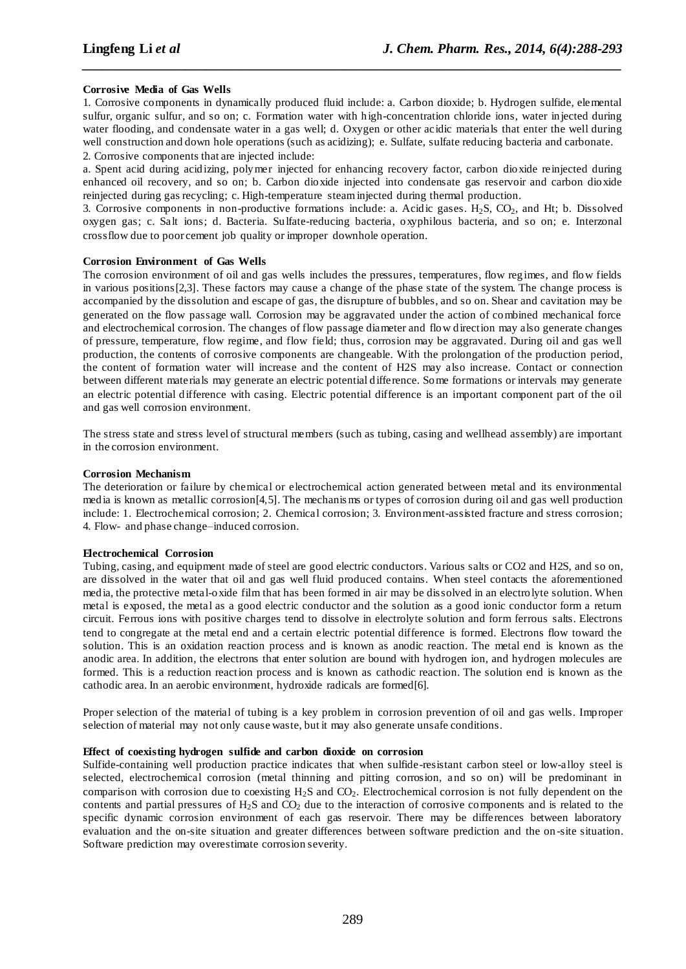### **Corrosive Media of Gas Wells**

1. Corrosive components in dynamically produced fluid include: a. Carbon dioxide; b. Hydrogen sulfide, elemental sulfur, organic sulfur, and so on; c. Formation water with high-concentration chloride ions, water injected during water flooding, and condensate water in a gas well; d. Oxygen or other acidic materials that enter the well during well construction and down hole operations (such as acidizing); e. Sulfate, sulfate reducing bacteria and carbonate. 2. Corrosive components that are injected include:

*\_\_\_\_\_\_\_\_\_\_\_\_\_\_\_\_\_\_\_\_\_\_\_\_\_\_\_\_\_\_\_\_\_\_\_\_\_\_\_\_\_\_\_\_\_\_\_\_\_\_\_\_\_\_\_\_\_\_\_\_\_\_\_\_\_\_\_\_\_\_\_\_\_\_\_\_\_\_*

a. Spent acid during acidizing, polymer injected for enhancing recovery factor, carbon dioxide reinjected during enhanced oil recovery, and so on; b. Carbon dioxide injected into condensate gas reservoir and carbon dioxide reinjected during gas recycling; c. High-temperature steam injected during thermal production.

3. Corrosive components in non-productive formations include: a. Acidic gases.  $H_2S$ ,  $CO_2$ , and Ht; b. Dissolved oxygen gas; c. Salt ions; d. Bacteria. Sulfate-reducing bacteria, oxyphilous bacteria, and so on; e. Interzonal crossflow due to poor cement job quality or improper downhole operation.

#### **Corrosion Environment of Gas Wells**

The corrosion environment of oil and gas wells includes the pressures, temperatures, flow regimes, and flow fields in various positions[2,3]. These factors may cause a change of the phase state of the system. The change process is accompanied by the dissolution and escape of gas, the disrupture of bubbles, and so on. Shear and cavitation may be generated on the flow passage wall. Corrosion may be aggravated under the action of combined mechanical force and electrochemical corrosion. The changes of flow passage diameter and flow direction may also generate changes of pressure, temperature, flow regime, and flow field; thus, corrosion may be aggravated. During oil and gas well production, the contents of corrosive components are changeable. With the prolongation of the production period, the content of formation water will increase and the content of H2S may also increase. Contact or connection between different materials may generate an electric potential difference. Some formations or intervals may generate an electric potential difference with casing. Electric potential difference is an important component part of the oil and gas well corrosion environment.

The stress state and stress level of structural members (such as tubing, casing and wellhead assembly) are important in the corrosion environment.

#### **Corrosion Mechanism**

The deterioration or failure by chemical or electrochemical action generated between metal and its environmental media is known as metallic corrosion[4,5]. The mechanis ms or types of corrosion during oil and gas well production include: 1. Electrochemical corrosion; 2. Chemical corrosion; 3. Environment-assisted fracture and stress corrosion; 4. Flow- and phase change–induced corrosion.

## **Electrochemical Corrosion**

Tubing, casing, and equipment made of steel are good electric conductors. Various salts or CO2 and H2S, and so on, are dissolved in the water that oil and gas well fluid produced contains. When steel contacts the aforementioned media, the protective metal-oxide film that has been formed in air may be dissolved in an electrolyte solution. When metal is exposed, the metal as a good electric conductor and the solution as a good ionic conductor form a return circuit. Ferrous ions with positive charges tend to dissolve in electrolyte solution and form ferrous salts. Electrons tend to congregate at the metal end and a certain electric potential difference is formed. Electrons flow toward the solution. This is an oxidation reaction process and is known as anodic reaction. The metal end is known as the anodic area. In addition, the electrons that enter solution are bound with hydrogen ion, and hydrogen molecules are formed. This is a reduction reaction process and is known as cathodic reaction. The solution end is known as the cathodic area. In an aerobic environment, hydroxide radicals are formed[6].

Proper selection of the material of tubing is a key problem in corrosion prevention of oil and gas wells. Improper selection of material may not only cause waste, but it may also generate unsafe conditions.

#### **Effect of coexisting hydrogen sulfide and carbon dioxide on corrosion**

Sulfide-containing well production practice indicates that when sulfide-resistant carbon steel or low-alloy steel is selected, electrochemical corrosion (metal thinning and pitting corrosion, and so on) will be predominant in comparison with corrosion due to coexisting  $H_2S$  and  $CO_2$ . Electrochemical corrosion is not fully dependent on the contents and partial pressures of  $H_2S$  and  $CO_2$  due to the interaction of corrosive components and is related to the specific dynamic corrosion environment of each gas reservoir. There may be differences between laboratory evaluation and the on-site situation and greater differences between software prediction and the on -site situation. Software prediction may overestimate corrosion severity.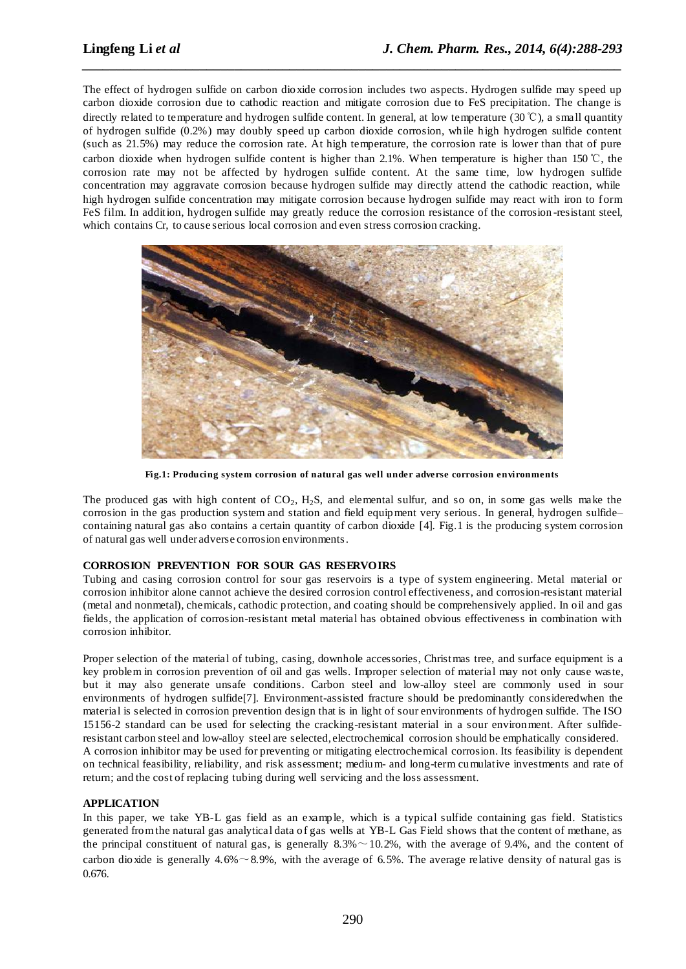The effect of hydrogen sulfide on carbon dioxide corrosion includes two aspects. Hydrogen sulfide may speed up carbon dioxide corrosion due to cathodic reaction and mitigate corrosion due to FeS precipitation. The change is directly related to temperature and hydrogen sulfide content. In general, at low temperature (30℃), a small quantity of hydrogen sulfide (0.2%) may doubly speed up carbon dioxide corrosion, while high hydrogen sulfide content (such as 21.5%) may reduce the corrosion rate. At high temperature, the corrosion rate is lower than that of pure carbon dioxide when hydrogen sulfide content is higher than 2.1%. When temperature is higher than 150 °C, the corrosion rate may not be affected by hydrogen sulfide content. At the same time, low hydrogen sulfide concentration may aggravate corrosion because hydrogen sulfide may directly attend the cathodic reaction, while high hydrogen sulfide concentration may mitigate corrosion because hydrogen sulfide may react with iron to form FeS film. In addition, hydrogen sulfide may greatly reduce the corrosion resistance of the corrosion -resistant steel, which contains Cr, to cause serious local corrosion and even stress corrosion cracking.

*\_\_\_\_\_\_\_\_\_\_\_\_\_\_\_\_\_\_\_\_\_\_\_\_\_\_\_\_\_\_\_\_\_\_\_\_\_\_\_\_\_\_\_\_\_\_\_\_\_\_\_\_\_\_\_\_\_\_\_\_\_\_\_\_\_\_\_\_\_\_\_\_\_\_\_\_\_\_*



**Fig.1: Producing system corrosion of natural gas well under adverse corrosion environments**

The produced gas with high content of  $CO<sub>2</sub>$ , H<sub>2</sub>S, and elemental sulfur, and so on, in some gas wells make the corrosion in the gas production system and station and field equipment very serious. In general, hydrogen sulfide– containing natural gas also contains a certain quantity of carbon dioxide [4]. Fig.1 is the producing system corrosion of natural gas well under adverse corrosion environments.

# **CORROSION PREVENTION FOR SOUR GAS RESERVOIRS**

Tubing and casing corrosion control for sour gas reservoirs is a type of system engineering. Metal material or corrosion inhibitor alone cannot achieve the desired corrosion control effectiveness, and corrosion-resistant material (metal and nonmetal), chemicals, cathodic protection, and coating should be comprehensively applied. In oil and gas fields, the application of corrosion-resistant metal material has obtained obvious effectiveness in combination with corrosion inhibitor.

Proper selection of the material of tubing, casing, downhole accessories, Christmas tree, and surface equipment is a key problem in corrosion prevention of oil and gas wells. Improper selection of material may not only cause waste, but it may also generate unsafe conditions. Carbon steel and low-alloy steel are commonly used in sour environments of hydrogen sulfide[7]. Environment-assisted fracture should be predominantly consideredwhen the material is selected in corrosion prevention design that is in light of sour environments of hydrogen sulfide. The ISO 15156-2 standard can be used for selecting the cracking-resistant material in a sour environment. After sulfideresistant carbon steel and low-alloy steel are selected, electrochemical corrosion should be emphatically considered. A corrosion inhibitor may be used for preventing or mitigating electrochemical corrosion. Its feasibility is dependent on technical feasibility, reliability, and risk assessment; medium- and long-term cumulative investments and rate of return; and the cost of replacing tubing during well servicing and the loss assessment.

#### **APPLICATION**

In this paper, we take YB-L gas field as an example, which is a typical sulfide containing gas field. Statistics generated from the natural gas analytical data of gas wells at YB-L Gas Field shows that the content of methane, as the principal constituent of natural gas, is generally 8.3% $\sim$  10.2%, with the average of 9.4%, and the content of carbon dioxide is generally  $4.6\% \sim 8.9\%$ , with the average of 6.5%. The average relative density of natural gas is 0.676.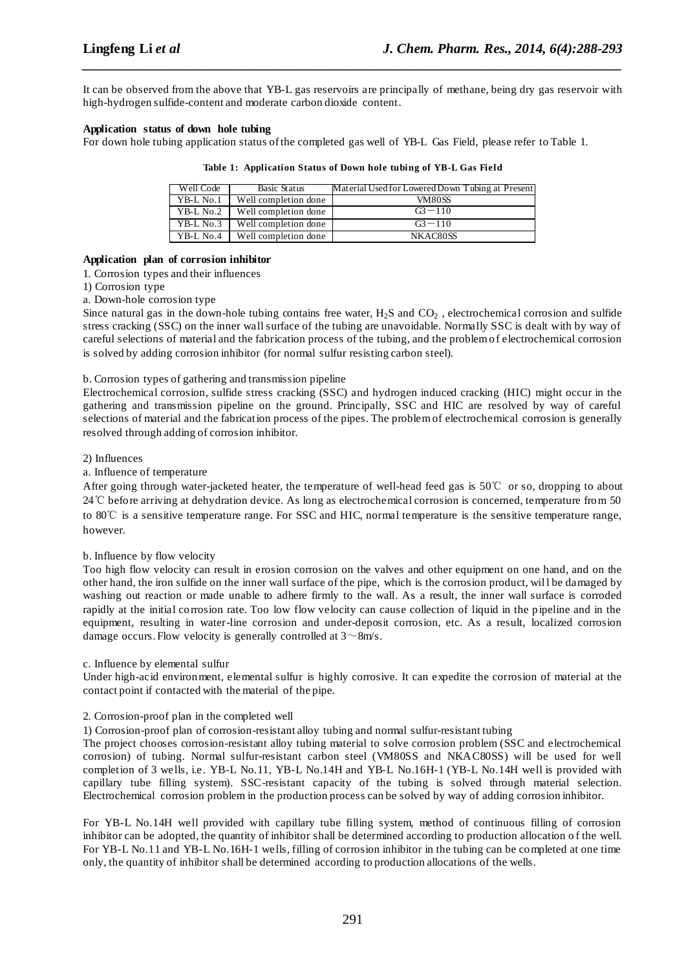It can be observed from the above that YB-L gas reservoirs are principally of methane, being dry gas reservoir with high-hydrogen sulfide-content and moderate carbon dioxide content.

*\_\_\_\_\_\_\_\_\_\_\_\_\_\_\_\_\_\_\_\_\_\_\_\_\_\_\_\_\_\_\_\_\_\_\_\_\_\_\_\_\_\_\_\_\_\_\_\_\_\_\_\_\_\_\_\_\_\_\_\_\_\_\_\_\_\_\_\_\_\_\_\_\_\_\_\_\_\_*

#### **Application status of down hole tubing**

For down hole tubing application status of the completed gas well of YB-L Gas Field, please refer to Table 1.

| Well Code | Basic Status         | Material Used for Lowered Down Tubing at Present |
|-----------|----------------------|--------------------------------------------------|
| YB-L No.1 | Well completion done | VM80SS                                           |
| YB-L No.2 | Well completion done | $G_3$ – 110                                      |
| YB-L No.3 | Well completion done | $G_3$ – 110                                      |
| YB-L No.4 | Well completion done | NKAC80SS                                         |

|  |  |  |  | Table 1: Application Status of Down hole tubing of YB-L Gas Field |
|--|--|--|--|-------------------------------------------------------------------|
|--|--|--|--|-------------------------------------------------------------------|

#### **Application plan of corrosion inhibitor**

1. Corrosion types and their influences

1) Corrosion type

a. Down-hole corrosion type

Since natural gas in the down-hole tubing contains free water,  $H_2S$  and  $CO_2$ , electrochemical corrosion and sulfide stress cracking (SSC) on the inner wall surface of the tubing are unavoidable. Normally SSC is dealt with by way of careful selections of material and the fabrication process of the tubing, and the problem of electrochemical corrosion is solved by adding corrosion inhibitor (for normal sulfur resisting carbon steel).

#### b. Corrosion types of gathering and transmission pipeline

Electrochemical corrosion, sulfide stress cracking (SSC) and hydrogen induced cracking (HIC) might occur in the gathering and transmission pipeline on the ground. Principally, SSC and HIC are resolved by way of careful selections of material and the fabrication process of the pipes. The problem of electrochemical corrosion is generally resolved through adding of corrosion inhibitor.

#### 2) Influences

### a. Influence of temperature

After going through water-jacketed heater, the temperature of well-head feed gas is 50℃ or so, dropping to about 24℃ before arriving at dehydration device. As long as electrochemical corrosion is concerned, temperature from 50 to 80℃ is a sensitive temperature range. For SSC and HIC, normal temperature is the sensitive temperature range, however.

#### b. Influence by flow velocity

Too high flow velocity can result in erosion corrosion on the valves and other equipment on one hand, and on the other hand, the iron sulfide on the inner wall surface of the pipe, which is the corrosion product, wil l be damaged by washing out reaction or made unable to adhere firmly to the wall. As a result, the inner wall surface is corroded rapidly at the initial corrosion rate. Too low flow velocity can cause collection of liquid in the pipeline and in the equipment, resulting in water-line corrosion and under-deposit corrosion, etc. As a result, localized corrosion damage occurs. Flow velocity is generally controlled at  $3 \sim 8$ m/s.

#### c. Influence by elemental sulfur

Under high-acid environment, elemental sulfur is highly corrosive. It can expedite the corrosion of material at the contact point if contacted with the material of the pipe.

#### 2. Corrosion-proof plan in the completed well

1) Corrosion-proof plan of corrosion-resistant alloy tubing and normal sulfur-resistant tubing

The project chooses corrosion-resistant alloy tubing material to solve corrosion problem (SSC and electrochemical corrosion) of tubing. Normal sulfur-resistant carbon steel (VM80SS and NKAC80SS) will be used for well completion of 3 wells, i.e. YB-L No.11, YB-L No.14H and YB-L No.16H-1 (YB-L No.14H well is provided with capillary tube filling system). SSC-resistant capacity of the tubing is solved through material selection. Electrochemical corrosion problem in the production process can be solved by way of adding corrosion inhibitor.

For YB-L No.14H well provided with capillary tube filling system, method of continuous filling of corrosion inhibitor can be adopted, the quantity of inhibitor shall be determined according to production allocation of the well. For YB-L No.11 and YB-L No.16H-1 wells, filling of corrosion inhibitor in the tubing can be completed at one time only, the quantity of inhibitor shall be determined according to production allocations of the wells.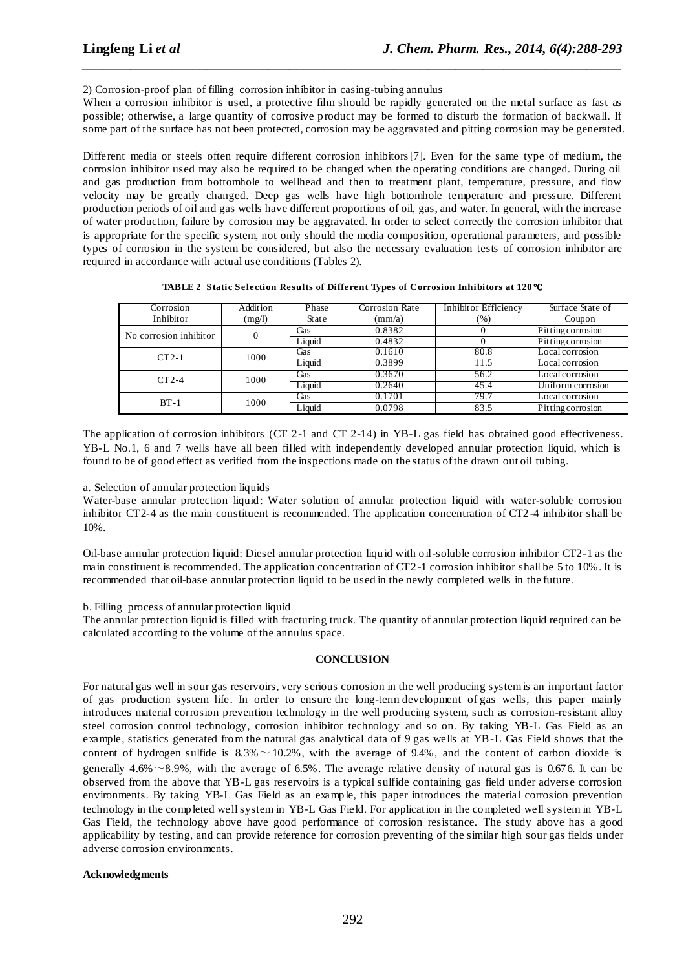2) Corrosion-proof plan of filling corrosion inhibitor in casing-tubing annulus

When a corrosion inhibitor is used, a protective film should be rapidly generated on the metal surface as fast as possible; otherwise, a large quantity of corrosive product may be formed to disturb the formation of backwall. If some part of the surface has not been protected, corrosion may be aggravated and pitting corrosion may be generated.

*\_\_\_\_\_\_\_\_\_\_\_\_\_\_\_\_\_\_\_\_\_\_\_\_\_\_\_\_\_\_\_\_\_\_\_\_\_\_\_\_\_\_\_\_\_\_\_\_\_\_\_\_\_\_\_\_\_\_\_\_\_\_\_\_\_\_\_\_\_\_\_\_\_\_\_\_\_\_*

Different media or steels often require different corrosion inhibitors[7]. Even for the same type of medium, the corrosion inhibitor used may also be required to be changed when the operating conditions are changed. During oil and gas production from bottomhole to wellhead and then to treatment plant, temperature, pressure, and flow velocity may be greatly changed. Deep gas wells have high bottomhole temperature and pressure. Different production periods of oil and gas wells have different proportions of oil, gas, and water. In general, with the increase of water production, failure by corrosion may be aggravated. In order to select correctly the corrosion inhibitor that is appropriate for the specific system, not only should the media composition, operational parameters, and possible types of corrosion in the system be considered, but also the necessary evaluation tests of corrosion inhibitor are required in accordance with actual use conditions (Tables 2).

| Corrosion              | Addition | Phase  | <b>Corrosion Rate</b> | <b>Inhibitor Efficiency</b> | Surface State of  |
|------------------------|----------|--------|-----------------------|-----------------------------|-------------------|
| Inhibitor              | (mg/l)   | State  | (mm/a)                | (%)                         | Coupon            |
| No corrosion inhibitor |          | Gas    | 0.8382                |                             | Pitting corrosion |
|                        |          | Liquid | 0.4832                |                             | Pitting corrosion |
| $CT2-1$                | 1000     | Gas    | 0.1610                | 80.8                        | Local corrosion   |
|                        |          | Liquid | 0.3899                | 11.5                        | Local corrosion   |
| $CT2-4$                | 1000     | Gas    | 0.3670                | 56.2                        | Local corrosion   |
|                        |          | Liquid | 0.2640                | 45.4                        | Uniform corrosion |
| $BT-1$                 | 1000     | Gas    | 0.1701                | 79.7                        | Local corrosion   |
|                        |          | Liquid | 0.0798                | 83.5                        | Pitting corrosion |

**TABLE 2 Static Selection Results of Different Types of Corrosion Inhibitors at 120** ℃

The application of corrosion inhibitors (CT 2-1 and CT 2-14) in YB-L gas field has obtained good effectiveness. YB-L No.1, 6 and 7 wells have all been filled with independently developed annular protection liquid, which is found to be of good effect as verified from the inspections made on the status of the drawn out oil tubing.

#### a. Selection of annular protection liquids

Water-base annular protection liquid: Water solution of annular protection liquid with water-soluble corrosion inhibitor CT2-4 as the main constituent is recommended. The application concentration of CT2 -4 inhibitor shall be 10%.

Oil-base annular protection liquid: Diesel annular protection liquid with oil-soluble corrosion inhibitor CT2-1 as the main constituent is recommended. The application concentration of CT2-1 corrosion inhibitor shall be 5 to 10%. It is recommended that oil-base annular protection liquid to be used in the newly completed wells in the future.

#### b. Filling process of annular protection liquid

The annular protection liquid is filled with fracturing truck. The quantity of annular protection liquid required can be calculated according to the volume of the annulus space.

#### **CONCLUSION**

For natural gas well in sour gas reservoirs, very serious corrosion in the well producing system is an important factor of gas production system life. In order to ensure the long-term development of gas wells, this paper mainly introduces material corrosion prevention technology in the well producing system, such as corrosion-resistant alloy steel corrosion control technology, corrosion inhibitor technology and so on. By taking YB-L Gas Field as an example, statistics generated from the natural gas analytical data of 9 gas wells at YB-L Gas Field shows that the content of hydrogen sulfide is  $8.3\% \sim 10.2\%$ , with the average of 9.4%, and the content of carbon dioxide is generally 4.6%  $\sim$ 8.9%, with the average of 6.5%. The average relative density of natural gas is 0.676. It can be observed from the above that YB-L gas reservoirs is a typical sulfide containing gas field under adverse corrosion environments. By taking YB-L Gas Field as an example, this paper introduces the material corrosion prevention technology in the completed well system in YB-L Gas Field. For application in the completed well system in YB-L Gas Field, the technology above have good performance of corrosion resistance. The study above has a good applicability by testing, and can provide reference for corrosion preventing of the similar high sour gas fields under adverse corrosion environments.

#### **Acknowledgments**